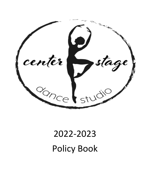

# 2022-2023 Policy Book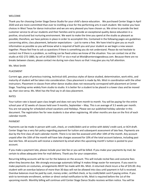#### WELCOME

Thank you for choosing Center Stage Dance Studio for your child's dance education. We purchased Center Stage in April 2020 and are more committed than ever to instilling a love for the performing arts in each student. We realize you have choices in West Texas for dance instruction and we are very pleased you have chosen us. We strive to provide the best customer service to all our students and their families and to provide an exceptional quality dance education in a positive, structured but nurturing environment. We want to make the time you spend at the studio as pleasant as possible; therefore, we have policies in place in order to accomplish this. Contained in the following pages are guidelines concerning attire, class placement, behavior expectations -- just to name a few. We have tried to give you as much information as possible so you will know what is required of both you and your student as we begin a new season together. Please feel free to ask us questions if there is something you do not understand. Please do not hesitate to contact me if there is a problem, as nothing can be fixed unless we know of the situation. You can contact me at the studio at 432-272-1883, by cell at (432)664-7377 or via e-mail at Misti@centerstageodessa.com. Because there are no breaks between classes, please contact me during non-class hours so that I may give you my full attention.

#### Ms. Misti Smith

#### PLACEMENT

Current age, years of previous training, technical skill, previous styles of dance studied, determination, work ethic, and maturity of student will be taken into consideration. Class placement is made by Ms. Misti in coordination with the other instructors. Placement in classes from other dance studios does not necessarily correspond with placement at Center Stage. Teaching varies widely from studio to studio. It is better for a student to be placed in a lower class and be moved up, than vice-versa. Ms. Misti has the final say in all class placement.

#### RATES

Your tuition rate is based upon class length and does not vary from month to month. You will be paying for the entire school year of 32 weeks of classes held over 9 months, September – May. This is an average of 3.5 weeks per month. You are not paying for scheduled school vacations and Holidays. Please see our published holiday calendar in this document. The registration fee for new students is due when registering. All other months are due on the first of each calendar month.

#### PAYMENT

Payments can be made in person with cash, check, or credit/debit card or online with debit/ credit card, or ACH draft. Center Stage has a very fair policy regarding payment for tuition and subsequent assessment of late fees. Payments are due by the first class of each calendar month. There is no late fee assessed until after 10th of the month. Any account unpaid after the 10th of the month will have late charges assessed for 10% of the total account balance, including past due late fees. All accounts will receive a statement by email when the upcoming month's tuition is posted to your account.

If you make a payment late, please include your late fee or you will be billed. If you make your payments by mail, be certain to allow adequate time for mail delivery. Thank you for your cooperation.

Recurring billing accounts will be run for the balance on the account. This will include recital fees and costume fees when they become due. We strongly encourage automatic billing! It makes things easier for everyone. If you want to make payments on costumes, arrangements MUST be made with Ms. Misti. A returned check incurs a fee of \$35.00. Any student with an overdue balance of more than 30 days will not be allowed into class until payment in full is received. Overdue balances must be paid by cash, money order, certified check, or by credit/debit card if paying online. If you wish to terminate enrollment, written or direct verbal notification to Ms. Misti is required before the 1st of the upcoming month. Monthly billing will continue until Center Stage Dance Studio receives written notice. You will be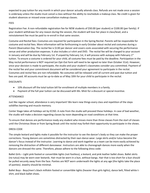expected to pay tuition for any month in which your dancer actually attends class. Refunds are not made once a session is underway unless the studio must cancel a class without the ability to reschedule a makeup class. No credit is given for student absences or missed snow cancellation makeup classes.

# FEES

Registration Fee: A non-refundable registration fee for NEW students of \$50.00 (per student) or \$100.00 (per family). If your student withdraws for any reason during the session, the student will lose her place in class/level, and a reinstatement fee must be paid to re-enroll in that same session.

Costume and Recital fees: Costumes are required for participation in the Spring Recital. Parents will be responsible for costume and recital fees. More information will be forthcoming in early October about recital and costumes during a Parent Observation Day. The recital fee is \$130 per dancer and covers costs associated with securing the performance venue and other production expenses. It also includes a t-shirt and DVD. The recital fee will be charged to your account in January and will be due by February 1st. If unpaid by February 1st, it will process with autopay with February 1st tuition. To ensure a costume is ordered for your child, all costume fees must be paid by the deadline. Participation in the May recital performance is NOT required (an Opt-Out form will need to be signed no later than October 31st). However, once your decision is made to participate, the studio and your student's classmates consider you committed. Payment of the recital fee and your commitment document will be considered your agreement to participate in the recital. Costumes and recital fees are non-refundable. No costumes will be released until all current and past due tuition and fees are paid. All accounts must be up-to-date as of May 10th for your child to participate in the recital.

### **DISCOUNTS**

- 10% discount off the total tuition bill for enrollment of multiple members in a family.
- Payment of the full year tuition can be discussed with Ms. Misti for a discount or special incentive.

# ATTENDANCE

Just like regular school, attendance is very important! We learn new things every class and repetition of the steps solidifies learning and muscle memory.

Center Stage takes all holidays set by ECISD. A note from the studio will proceed these holidays. In case of bad weather, the studio will make a decision regarding classes by noon depending on road conditions at that time.

To ensure that dances are performance ready any student who misses more than three classes from the start of classes until the Christmas Show or from Spring Break until the recital may forfeit their opportunity to participate in the shows.

#### DRESS CODE

The simple leotard and tights make it possible for the instructor to see the dancer's body so they can make the proper corrections. Young dancers are sometimes distracted by their own dance wear. Large skirts and/or tutus become the dancer's focus instead of the instructor. Learning to dance and work together as a team can be more easily achieved by removing the distraction of different dancewear. Instructors are able to choreograph dances more easily when the dancers are dressed the same. Therefore, please adhere to the following dress code:

Ballet Girls – Light pink footed or convertible tights (not footless), a leotard, and pink leather ballet shoes. Ballet skirts (no tutus) may be worn over leotards. Hair must be worn in a bun, without bangs. Hair that is too short for a bun should be pulled securely away from the face. Panties are NOT worn underneath the tights at any age (the tights take the place of panties). Jewelry should be minimal.

Ballet Boys - Boys/men's black milliskin footed or convertible tights (heavier than girls tights), dance belt, fitted white tshirt, and black ballet shoes.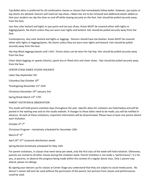Tap-Ballet attire is preferred for all combination classes or classes that immediately follow ballet. However, jazz pants or tap shorts are allowed. Dancers will need tan tap shoes, ribbon ties are to be removed and additional elastic added so that your student can slip the shoe on and off while staying securely on the foot. Hair should be pulled securely away from the face.

Jazz-Any color leotard and tights or jazz pants and tan jazz shoes. Knees MUST be covered either with tights or leggings/pants. No shorts unless they are worn over tights and leotard. Hair should be pulled securely away from the face.

Contemporary- Any color leotard and tights or leggings. Dancers should have toe booties. Knees MUST be covered either with tights or leggings/pants. No shorts unless they are worn over tights and leotard. Hair should be pulled securely away from the face.

Hip Hop-Black leggings/sweats and t-shirt. Tennis shoes can be worn for hip hop. Hair should be pulled securely away from the face.

Cheer-black leggings or spanks (shorts), sports bra or fitted shirt and cheer shoes. Hair should be pulled securely away from the face.

CENTER STAGE DANCE STUDIO HOLIDAYS

Labor Day-September 5th

Columbus Day-October 10<sup>th</sup>

Thanksgiving-November 21st-25th

Christmas-December 19<sup>th</sup>-January 2nd

Spring Break-March 13<sup>th</sup>-17th

PARENT VISITATION & OBSERVATION

The studio will hold parent visitation days throughout the year. Specific dates for visitation are listed below and will be posted in the waiting area and on the studio website. If changes to these dates need to be made, you will be notified in advance. At each of these visitations, important information will be disseminated. Please have at least one parent attend each Visitation.

```
October 4<sup>th</sup>-7<sup>th</sup>
```
Christmas Program – tentatively scheduled for December 10th

March 6<sup>th</sup>-9<sup>th</sup>

April 24<sup>th</sup>-27<sup>th</sup> (costume distribution week)

Spring Recital-tentatively scheduled for May 14th

For parent visitations, in classes that meet twice per week, only the first class of the week will hold visitation. Otherwise, parents are invited to all other classes during the visitation week. Parent Visitation is not really a "performance"; it is for you, as parents, to observe the progress being made within the context of a regular dance class. Only 1 parent may attend, please no siblings.

By signing your dancers up for classes at Center Stage you understand that they are subject to social media posts. No dancer's names will ever be used without the permission of the parent, but pictures from classes and performances could be used.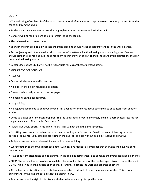#### SAFETY

• The wellbeing of students is of the utmost concern to all of us at Center Stage. Please escort young dancers from the car to and from the studio.

- Students must wear cover-ups over their tights/leotards as they enter and exit the studio.
- Dancers waiting for a ride are asked to remain inside the studio.
- Please have rides arrive on time.
- Younger children are not allowed into the office area and should never be left unattended in the waiting areas.

• Purses, jewelry and other valuables should not be left unattended in the dressing room or waiting area. Dancers should bring their dance bag into the dance room so that they can quickly change shoes and avoid distractions that can occur in the dressing rooms.

• Center Stage Dance Studio will not be responsible for loss or theft of personal items.

#### DANCER'S CODE OF CONDUCT

- Have fun!
- Respect all classmates and instructors.
- No excessive talking in rehearsals or classes.
- Dress code is strictly enforced. (see last page)
- No hanging on the ballet barres.
- No gossiping.

• No negative comments to or about anyone. This applies to comments about other studios or dancers from another studio.

• Come to classes and rehearsals prepared. This includes shoes, proper dancewear, and hair appropriately secured for the particular class. This is called "work ethic".

• Always give 100% effort. This is called "heart". This will pay off in the end, I promise.

• No sitting down in class or rehearsal, unless authorized by your instructor. Even if you are not dancing during a particular sequence, you should be practicing in the back of the class without being distracting or disruptive.

• Tell your teacher before rehearsal if you are ill or have an injury.

• Work together as a team. Support each other with positive feedback. Remember that everyone will have his or her time to shine.

• Have consistent attendance and be on time. These qualities complement and enhance the overall learning experience.

• PLEASE be as punctual as possible. When late, please wait at the door for the teacher's permission to enter the studio; DO NOT walk in during the middle of an exercise. Tardiness disrupts the work and progress of others.

• At the teacher's discretion, a tardy student may be asked to sit and observe the remainder of class. This is not a punishment for the student but a precaution against injury.

• Teachers reserve the right to dismiss any student who repeatedly disrupts the class.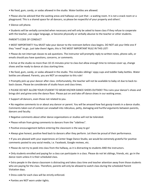- No food, gum, candy, or sodas allowed in the studio. Water bottles are allowed.
- Please also be advised that the waiting areas and hallways are just that --a waiting room. It is not a snack room or a playground. This is a shared space for all dancers, so please be respectful of your property and others'.
- Silence cell phone.

• Students will be verbally corrected when necessary and will only be asked to leave class if they refuse to cooperate with the teacher, use vulgar language, or become physically or verbally abusive to the teacher or other students.

### PARENT'S CODE OF CONDUCT

• MOST IMPORTANT!! You MUST take your dancer to the restroom before class begins. DO NOT ask your little one if they "need" to go…just take them! Again, this is THE MOST IMPORTANT RULE IN THIS LIST!

• Please do not interrupt classes to ask questions. The instructor will promptly reply to written notes, phone calls, or emails should you have questions, concerns, or comments.

• Arrive at the studio no more than 10-15 minutes prior to class but allow enough time to remove cover up, change shoes and be ready to dance at class starting time.

• No food, gum, candy, or sodas allowed in the studio. This includes siblings' sippy cups and toddler baby bottles. Water bottles are allowed. Parents, you are NOT an exception to this rule!

• Promptly pick up your dancer after class. Unfortunately, the teacher will not be available to baby-sit due to back-toback classes. Please be considerate of studio hours and class times.

• PLEASE DO NOT ALLOW YOUR STUDENT TO WEAR HIS/HER DANCE SHOES OUTSIDE! This ruins your dancer's shoes and brings dirt and grime onto the dance floor. Please put on and take off dance shoes in our waiting areas.

• Support all dancers, even those not related to you.

• No negative comments to or about any dancer or parent. You will be amazed how fast gossip travels in a dance studio. Comments taken out of context can snowball into ridiculous, petty, damaging and hurtful arguments between parents, dancers and faculty.

- Negative comments about other dance organizations or studios will not be tolerated.
- Please refrain from giving comments to dancers from the "sidelines".
- Positive encouragement before entering the classroom is the way to go!
- Always give honest, positive feed back to dancers after they perform. Let them be proud of their performance.

• If you are pleased with your experiences at Center Stage Dance Studio, we would be extremely grateful for positive comments posted to any social media, i.e. Facebook, Google reviews, etc.

• Please do not try to peek into class from the hallway, as it is distracting to students AND the instructors.

• Only students enrolled and paying for a class can participate in a class. Please do not let siblings, friends, etc. go in the dance room unless it is their scheduled class.

• Extra people in the dance classroom is distracting and takes class time and teacher attention away from those students who are paying for the class. Therefore, parents will only be allowed to watch class during the scheduled Parent Visitation days.

• Dress code for each class will be strictly enforced.

• Panties are NOT worn under tights.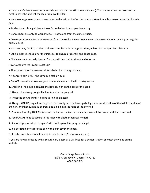• If a student's dance wear becomes a distraction (such as skirts, sweaters, etc.), Your dancer's teacher reserves the right to have the student change or remove the item.

• We discourage excessive ornamentation in the hair, as it often becomes a distraction. A bun cover or simple ribbon is best.

- Students must bring all dance shoes for each class in a proper dance bag.
- Dance shoes are only be worn IN class not to and from the dance studio.

• Cover-ups must always be worn to and from the studio. Please do not wear dancewear without cover-ups to regular public places.

- No cover-ups, T-shirts, or shorts allowed over leotards during class time, unless teacher specifies otherwise.
- Label all dance shoes (after the first class to ensure proper fit) and dance bags.
- All dancers not properly dressed for class will be asked to sit out and observe.

How to Achieve the Proper Ballet Bun

- The correct "tools" are essential for a ballet bun to stay in place.
- A dancer's bun is NOT the same as a fashion bun!
- Do NOT use a donut to make your bun for dance class! It will not stay secure!
- 1. Smooth all hair into a ponytail that is fairly high on the back of the head.
- 2. Use a thick, strong ponytail holder to make the ponytail.
- 3. Twist the ponytail until it begins to fold up on itself.

4. Using HAIRPINS, begin inserting your pin directly into the head, grabbing only a small portion of the hair in the side of the bun, and then turn it 45 degrees and slide it into the folds of the ponytail.

5. Continue inserting HAIRPINS around the bun as the twisted hair wraps around the center until hair is secured.

- 6. You DO NOT need to secure this further with another ponytail holder!
- 7. Smooth flyaway hair or "wispies" with bobby pins, hairspray or hair gel.
- 8. It is acceptable to adorn the bun with a bun cover or ribbon.
- 9. It is also acceptable to put hair up in double buns (2 buns from pigtails).

If you are having difficulty with a secure bun, please ask Ms. Misti for a demonstration or watch the video on the website.

> Center Stage Dance Studio 2736 N. Grandview, Odessa TX 79762 432-272-1883